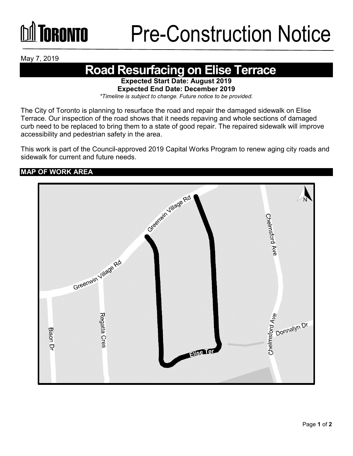May 7, 2019

## **Road Resurfacing on Elise Terrace**

**Expected Start Date: August 2019 Expected End Date: December 2019** 

*\*Timeline is subject to change. Future notice to be provided.*

The City of Toronto is planning to resurface the road and repair the damaged sidewalk on Elise Terrace. Our inspection of the road shows that it needs repaving and whole sections of damaged curb need to be replaced to bring them to a state of good repair. The repaired sidewalk will improve accessibility and pedestrian safety in the area.

This work is part of the Council-approved 2019 Capital Works Program to renew aging city roads and sidewalk for current and future needs.

### **MAP OF WORK AREA**